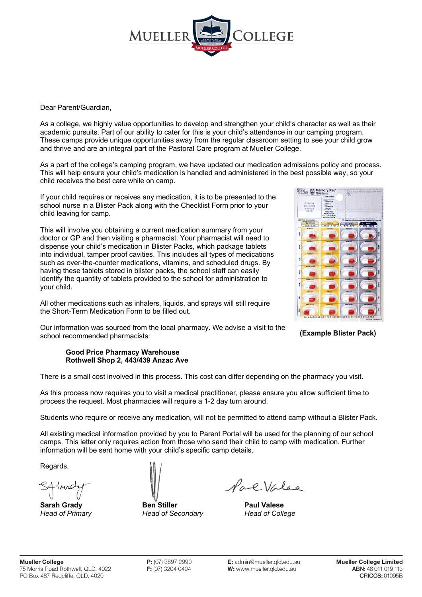

Dear Parent/Guardian,

As a college, we highly value opportunities to develop and strengthen your child's character as well as their academic pursuits. Part of our ability to cater for this is your child's attendance in our camping program. These camps provide unique opportunities away from the regular classroom setting to see your child grow and thrive and are an integral part of the Pastoral Care program at Mueller College.

As a part of the college's camping program, we have updated our medication admissions policy and process. This will help ensure your child's medication is handled and administered in the best possible way, so your child receives the best care while on camp.

If your child requires or receives any medication, it is to be presented to the school nurse in a Blister Pack along with the Checklist Form prior to your child leaving for camp.

This will involve you obtaining a current medication summary from your doctor or GP and then visiting a pharmacist. Your pharmacist will need to dispense your child's medication in Blister Packs, which package tablets into individual, tamper proof cavities. This includes all types of medications such as over-the-counter medications, vitamins, and scheduled drugs. By having these tablets stored in blister packs, the school staff can easily identify the quantity of tablets provided to the school for administration to your child.

All other medications such as inhalers, liquids, and sprays will still require the Short-Term Medication Form to be filled out.



**(Example Blister Pack)**

Our information was sourced from the local pharmacy. We advise a visit to the school recommended pharmacists:

## **Good Price Pharmacy Warehouse Rothwell Shop 2, 443/439 Anzac Ave**

There is a small cost involved in this process. This cost can differ depending on the pharmacy you visit.

As this process now requires you to visit a medical practitioner, please ensure you allow sufficient time to process the request. Most pharmacies will require a 1-2 day turn around.

Students who require or receive any medication, will not be permitted to attend camp without a Blister Pack.

All existing medical information provided by you to Parent Portal will be used for the planning of our school camps. This letter only requires action from those who send their child to camp with medication. Further information will be sent home with your child's specific camp details.

Regards,



**Sarah Grady Ben Stiller Paul Valese** *Head of Primary Head of Secondary Head of College*

Pallalee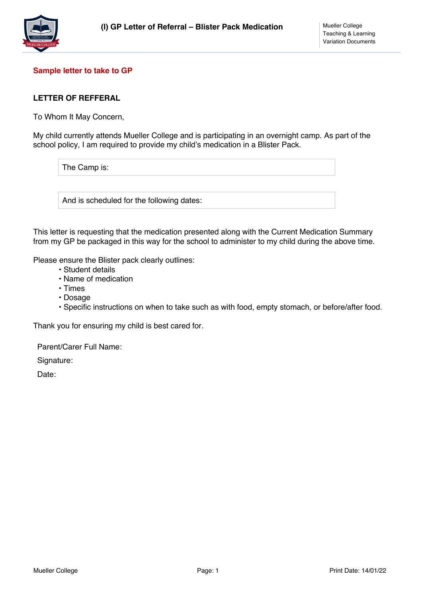

# **Sample letter to take to GP**

# **LETTER OF REFFERAL**

To Whom It May Concern,

My child currently attends Mueller College and is participating in an overnight camp. As part of the school policy, I am required to provide my child's medication in a Blister Pack.

The Camp is:

And is scheduled for the following dates:

This letter is requesting that the medication presented along with the Current Medication Summary from my GP be packaged in this way for the school to administer to my child during the above time.

Please ensure the Blister pack clearly outlines:

- Student details
- Name of medication
- Times
- Dosage
- Specific instructions on when to take such as with food, empty stomach, or before/after food.

Thank you for ensuring my child is best cared for.

Parent/Carer Full Name:

Signature:

Date: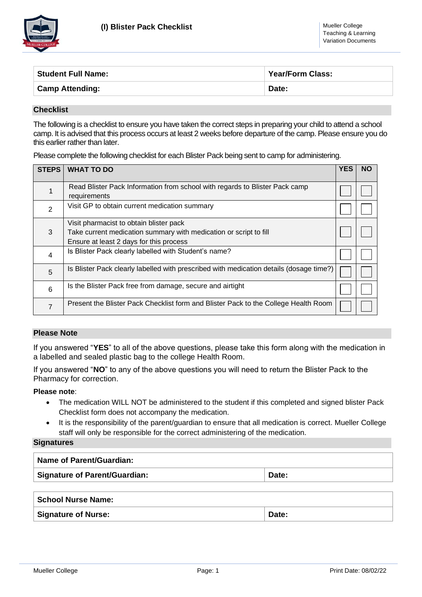

| <b>Student Full Name:</b> | <b>Year/Form Class:</b> |  |  |
|---------------------------|-------------------------|--|--|
| <b>Camp Attending:</b>    | Date:                   |  |  |

### **Checklist**

The following is a checklist to ensure you have taken the correct steps in preparing your child to attend a school camp. It is advised that this process occurs at least 2 weeks before departure of the camp. Please ensure you do this earlier rather than later.

Please complete the following checklist for each Blister Pack being sent to camp for administering.

| <b>STEPS</b>   | <b>WHAT TO DO</b>                                                                                                                                       |  |  |  |  |
|----------------|---------------------------------------------------------------------------------------------------------------------------------------------------------|--|--|--|--|
|                | Read Blister Pack Information from school with regards to Blister Pack camp<br>requirements                                                             |  |  |  |  |
| $\overline{2}$ | Visit GP to obtain current medication summary                                                                                                           |  |  |  |  |
| 3              | Visit pharmacist to obtain blister pack<br>Take current medication summary with medication or script to fill<br>Ensure at least 2 days for this process |  |  |  |  |
| 4              | Is Blister Pack clearly labelled with Student's name?                                                                                                   |  |  |  |  |
| 5              | Is Blister Pack clearly labelled with prescribed with medication details (dosage time?)                                                                 |  |  |  |  |
| 6              | Is the Blister Pack free from damage, secure and airtight                                                                                               |  |  |  |  |
| $\overline{7}$ | Present the Blister Pack Checklist form and Blister Pack to the College Health Room                                                                     |  |  |  |  |

# **Please Note**

If you answered "**YES**" to all of the above questions, please take this form along with the medication in a labelled and sealed plastic bag to the college Health Room.

If you answered "**NO**" to any of the above questions you will need to return the Blister Pack to the Pharmacy for correction.

## **Please note**:

- The medication WILL NOT be administered to the student if this completed and signed blister Pack Checklist form does not accompany the medication.
- It is the responsibility of the parent/guardian to ensure that all medication is correct. Mueller College staff will only be responsible for the correct administering of the medication.

#### **Signatures**

| <b>Name of Parent/Guardian:</b> |       |  |  |  |  |
|---------------------------------|-------|--|--|--|--|
| Signature of Parent/Guardian:   | Date: |  |  |  |  |
| School Nurse Name:              |       |  |  |  |  |

**Signature of Nurse:**  $\qquad \qquad$  Date: